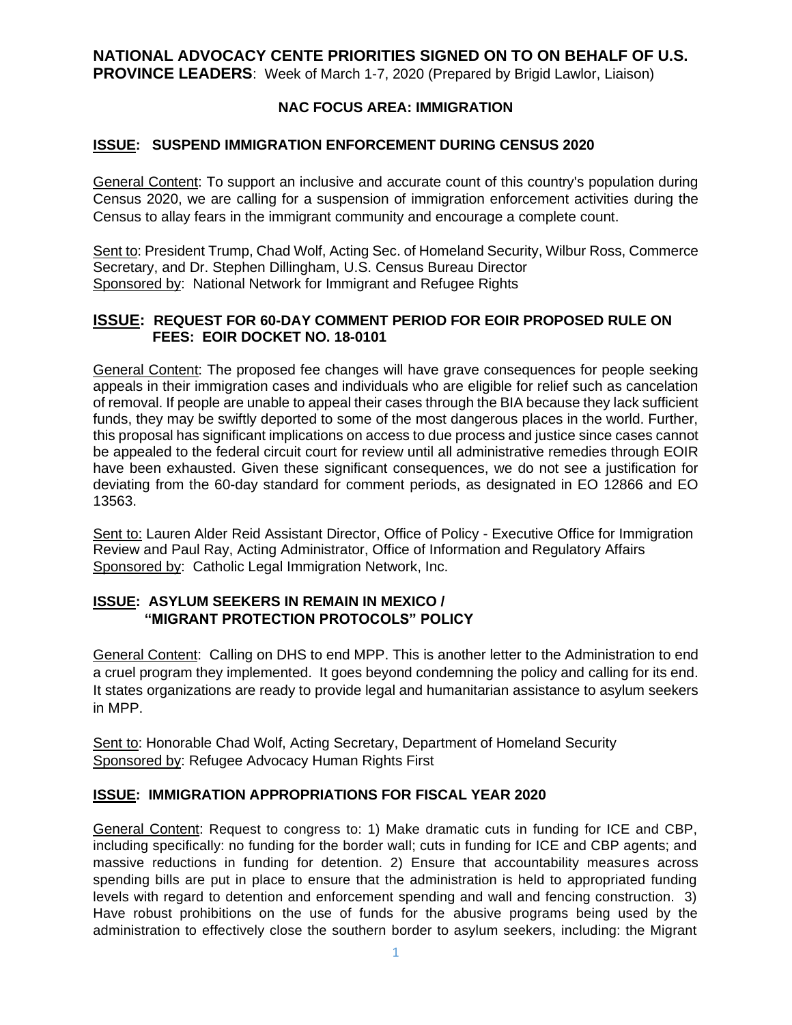### **NATIONAL ADVOCACY CENTE PRIORITIES SIGNED ON TO ON BEHALF OF U.S. PROVINCE LEADERS**: Week of March 1-7, 2020 (Prepared by Brigid Lawlor, Liaison)

## **NAC FOCUS AREA: IMMIGRATION**

#### **ISSUE: SUSPEND IMMIGRATION ENFORCEMENT DURING CENSUS 2020**

General Content: To support an inclusive and accurate count of this country's population during Census 2020, we are calling for a suspension of immigration enforcement activities during the Census to allay fears in the immigrant community and encourage a complete count.

Sent to: President Trump, Chad Wolf, Acting Sec. of Homeland Security, Wilbur Ross, Commerce Secretary, and Dr. Stephen Dillingham, U.S. Census Bureau Director Sponsored by: National Network for Immigrant and Refugee Rights

#### **ISSUE: REQUEST FOR 60-DAY COMMENT PERIOD FOR EOIR PROPOSED RULE ON FEES: EOIR DOCKET NO. 18-0101**

General Content: The proposed fee changes will have grave consequences for people seeking appeals in their immigration cases and individuals who are eligible for relief such as cancelation of removal. If people are unable to appeal their cases through the BIA because they lack sufficient funds, they may be swiftly deported to some of the most dangerous places in the world. Further, this proposal has significant implications on access to due process and justice since cases cannot be appealed to the federal circuit court for review until all administrative remedies through EOIR have been exhausted. Given these significant consequences, we do not see a justification for deviating from the 60-day standard for comment periods, as designated in EO 12866 and EO 13563.

Sent to: Lauren Alder Reid Assistant Director, Office of Policy - Executive Office for Immigration Review and Paul Ray, Acting Administrator, Office of Information and Regulatory Affairs Sponsored by: Catholic Legal Immigration Network, Inc.

## **ISSUE: ASYLUM SEEKERS IN REMAIN IN MEXICO / "MIGRANT PROTECTION PROTOCOLS" POLICY**

General Content: Calling on DHS to end MPP. This is another letter to the Administration to end a cruel program they implemented. It goes beyond condemning the policy and calling for its end. It states organizations are ready to provide legal and humanitarian assistance to asylum seekers in MPP.

Sent to: Honorable Chad Wolf, Acting Secretary, Department of Homeland Security Sponsored by: Refugee Advocacy Human Rights First

#### **ISSUE: IMMIGRATION APPROPRIATIONS FOR FISCAL YEAR 2020**

General Content: Request to congress to: 1) Make dramatic cuts in funding for ICE and CBP, including specifically: no funding for the border wall; cuts in funding for ICE and CBP agents; and massive reductions in funding for detention. 2) Ensure that accountability measures across spending bills are put in place to ensure that the administration is held to appropriated funding levels with regard to detention and enforcement spending and wall and fencing construction. 3) Have robust prohibitions on the use of funds for the abusive programs being used by the administration to effectively close the southern border to asylum seekers, including: the Migrant